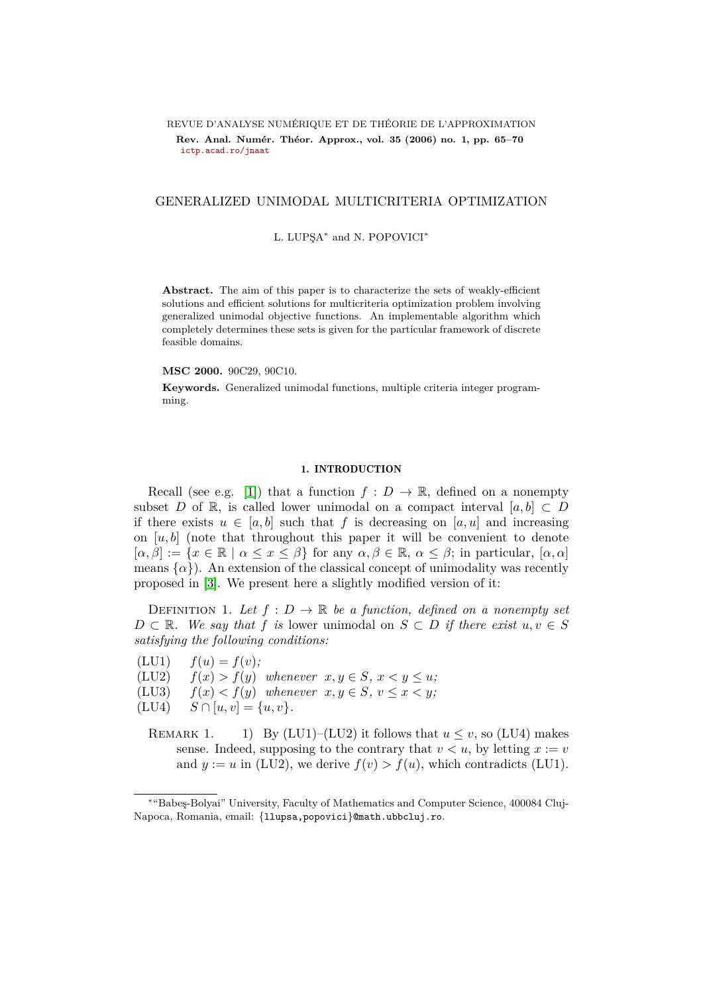# <span id="page-0-1"></span>REVUE D'ANALYSE NUMÉRIQUE ET DE THÉORIE DE L'APPROXIMATION Rev. Anal. Numér. Théor. Approx., vol. 35 (2006) no. 1, pp. 65–70 **[ictp.acad.ro/jnaat](www.ictp.acad.ro/jnaat)**

# GENERALIZED UNIMODAL MULTICRITERIA OPTIMIZATION

L. LUPŞA<sup>\*</sup> and N. POPOVICI<sup>\*</sup>

Abstract. The aim of this paper is to characterize the sets of weakly-efficient solutions and efficient solutions for multicriteria optimization problem involving generalized unimodal objective functions. An implementable algorithm which completely determines these sets is given for the particular framework of discrete feasible domains.

## **MSC 2000.** 90C29, 90C10.

**Keywords.** Generalized unimodal functions, multiple criteria integer programming.

### 1. INTRODUCTION

Recall (see e.g. [\[1\]](#page-5-0)) that a function  $f: D \to \mathbb{R}$ , defined on a nonempty subset *D* of R, is called lower unimodal on a compact interval  $[a, b] \subset D$ if there exists  $u \in [a, b]$  such that f is decreasing on  $[a, u]$  and increasing on  $[u, b]$  (note that throughout this paper it will be convenient to denote  $[\alpha, \beta] := \{x \in \mathbb{R} \mid \alpha \leq x \leq \beta\}$  for any  $\alpha, \beta \in \mathbb{R}, \alpha \leq \beta$ ; in particular,  $[\alpha, \alpha]$ means  $\{\alpha\}$ ). An extension of the classical concept of unimodality was recently proposed in [\[3\]](#page-5-1). We present here a slightly modified version of it:

<span id="page-0-0"></span>DEFINITION 1. Let  $f: D \to \mathbb{R}$  be a function, defined on a nonempty set *D* ⊂ R*.* We say that *f is* lower unimodal on *S* ⊂ *D if* there exist  $u, v \in S$ *satisfying the following conditions:*

 $f(u) = f(v);$ 

(LU2)  $f(x) > f(y)$  whenever  $x, y \in S, x < y \leq u$ ;

(LU3)  $f(x) < f(y)$  whenever  $x, y \in S$ ,  $v \le x \le y$ ;

 $(LU4)$   $S \cap [u, v] = \{u, v\}.$ 

REMARK 1. 1) By (LU1)–(LU2) it follows that  $u \le v$ , so (LU4) makes sense. Indeed, supposing to the contrary that  $v < u$ , by letting  $x := v$ and  $y := u$  in (LU2), we derive  $f(v) > f(u)$ , which contradicts (LU1).

<sup>∗</sup> "Babe¸s-Bolyai" University, Faculty of Mathematics and Computer Science, 400084 Cluj-Napoca, Romania, email: {llupsa,popovici}@math.ubbcluj.ro.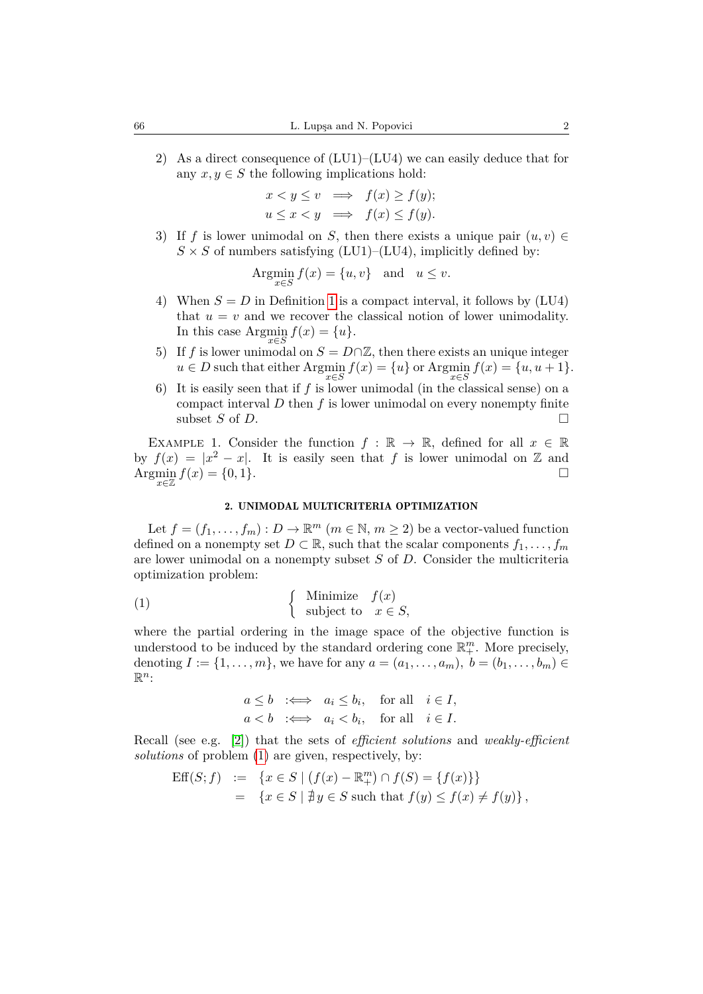2) As a direct consequence of  $(LU1)–(LU4)$  we can easily deduce that for any  $x, y \in S$  the following implications hold:

$$
x < y \le v \implies f(x) \ge f(y);
$$
  

$$
u \le x < y \implies f(x) \le f(y).
$$

3) If *f* is lower unimodal on *S*, then there exists a unique pair  $(u, v) \in$  $S \times S$  of numbers satisfying (LU1)–(LU4), implicitly defined by:

Arg<sub>*x \in S*</sub> 
$$
f(x) = \{u, v\}
$$
 and  $u \le v$ .

- 4) When  $S = D$  in Definition [1](#page-0-0) is a compact interval, it follows by  $(LU4)$ that  $u = v$  and we recover the classical notion of lower unimodality. In this case Argmin  $f(x) = \{u\}.$
- 5) If *f* is lower unimodal on  $S = D \cap \mathbb{Z}$ , then there exists an unique integer  $u \in D$  such that either  $\operatorname{Argmin}_{x \in S} f(x) = \{u\}$  or  $\operatorname{Argmin}_{x \in S} f(x) = \{u, u + 1\}.$
- 6) It is easily seen that if  $f$  is lower unimodal (in the classical sense) on a compact interval *D* then *f* is lower unimodal on every nonempty finite subset  $S$  of  $D$ .

EXAMPLE 1. Consider the function  $f : \mathbb{R} \to \mathbb{R}$ , defined for all  $x \in \mathbb{R}$ by  $f(x) = |x^2 - x|$ . It is easily seen that *f* is lower unimodal on Z and Argmin  $f(x) = \{0, 1\}$ . *x*∈Z

### <span id="page-1-0"></span>2. UNIMODAL MULTICRITERIA OPTIMIZATION

Let  $f = (f_1, \ldots, f_m) : D \to \mathbb{R}^m$   $(m \in \mathbb{N}, m \ge 2)$  be a vector-valued function defined on a nonempty set  $D \subset \mathbb{R}$ , such that the scalar components  $f_1, \ldots, f_m$ are lower unimodal on a nonempty subset *S* of *D*. Consider the multicriteria optimization problem:

(1) 
$$
\begin{cases} \text{Minimize} & f(x) \\ \text{subject to} & x \in S, \end{cases}
$$

where the partial ordering in the image space of the objective function is understood to be induced by the standard ordering cone  $\mathbb{R}^m_+$ . More precisely, denoting  $I := \{1, ..., m\}$ , we have for any  $a = (a_1, ..., a_m)$ ,  $b = (b_1, ..., b_m)$  $\mathbb{R}^n$ :

$$
a \le b \iff a_i \le b_i, \quad \text{for all} \quad i \in I,
$$
  

$$
a < b \iff a_i < b_i, \quad \text{for all} \quad i \in I.
$$

Recall (see e.g. [\[2\]](#page-5-2)) that the sets of *efficient solutions* and *weakly-efficient solutions* of problem [\(1\)](#page-1-0) are given, respectively, by:

$$
\begin{array}{rcl} \text{Eff}(S;f) & := & \{x \in S \mid (f(x) - \mathbb{R}^m_+) \cap f(S) = \{f(x)\}\} \\ & = & \{x \in S \mid \nexists y \in S \text{ such that } f(y) \le f(x) \ne f(y)\} \,, \end{array}
$$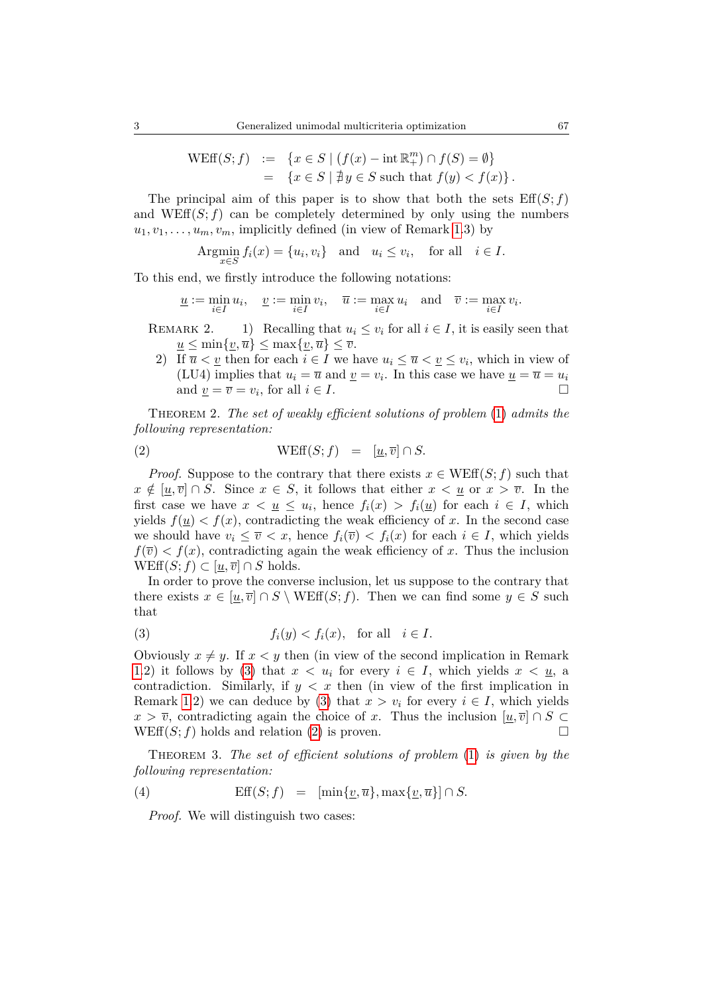$$
\begin{array}{rcl} \text{WEff}(S; f) & := & \{ x \in S \mid (f(x) - \text{int } \mathbb{R}^m_+) \cap f(S) = \emptyset \} \\ & = & \{ x \in S \mid \nexists y \in S \text{ such that } f(y) < f(x) \} \,. \end{array}
$$

The principal aim of this paper is to show that both the sets  $\text{Eff}(S; f)$ and WEff $(S; f)$  can be completely determined by only using the numbers  $u_1, v_1, \ldots, u_m, v_m$ , implicitly defined (in view of Remark [1.](#page-0-1)3) by

$$
\operatorname{Arg} \min_{x \in S} f_i(x) = \{u_i, v_i\} \quad \text{and} \quad u_i \le v_i, \quad \text{for all} \quad i \in I.
$$

To this end, we firstly introduce the following notations:

<span id="page-2-1"></span>
$$
\underline{u}:=\min_{i\in I}u_i,\quad \underline{v}:=\min_{i\in I}v_i,\quad \overline{u}:=\max_{i\in I}u_i\quad \text{and}\quad \overline{v}:=\max_{i\in I}v_i.
$$

- REMARK 2. 1) Recalling that  $u_i \leq v_i$  for all  $i \in I$ , it is easily seen that  $u \leq \min\{\underline{v}, \overline{u}\} \leq \max\{\underline{v}, \overline{u}\} \leq \overline{v}.$ 
	- 2) If  $\overline{u} < \underline{v}$  then for each  $i \in I$  we have  $u_i \leq \overline{u} < \underline{v} \leq v_i$ , which in view of (LU4) implies that  $u_i = \overline{u}$  and  $\underline{v} = v_i$ . In this case we have  $\underline{u} = \overline{u} = u_i$ and  $\underline{v} = \overline{v} = v_i$ , for all  $i \in I$ .

<span id="page-2-3"></span>Theorem 2. *The set of weakly efficient solutions of problem* [\(1\)](#page-1-0) *admits the following representation:*

(2) 
$$
\text{WEff}(S; f) = [\underline{u}, \overline{v}] \cap S.
$$

*Proof.* Suppose to the contrary that there exists  $x \in \text{WEff}(S; f)$  such that  $x \notin [\underline{u}, \overline{v}] \cap S$ . Since  $x \in S$ , it follows that either  $x < \underline{u}$  or  $x > \overline{v}$ . In the first case we have  $x < u \leq u_i$ , hence  $f_i(x) > f_i(u)$  for each  $i \in I$ , which yields  $f(\underline{u}) < f(x)$ , contradicting the weak efficiency of x. In the second case we should have  $v_i \leq \overline{v} < x$ , hence  $f_i(\overline{v}) < f_i(x)$  for each  $i \in I$ , which yields  $f(\overline{v}) < f(x)$ , contradicting again the weak efficiency of *x*. Thus the inclusion  $WEff(S; f) \subset [u, \overline{v}] \cap S$  holds.

In order to prove the converse inclusion, let us suppose to the contrary that there exists  $x \in [\underline{u}, \overline{v}] \cap S \setminus \text{WEff}(S; f)$ . Then we can find some  $y \in S$  such that

<span id="page-2-0"></span>(3) 
$$
f_i(y) < f_i(x), \quad \text{for all} \quad i \in I.
$$

Obviously  $x \neq y$ . If  $x < y$  then (in view of the second implication in Remark [1.](#page-0-1)2) it follows by [\(3\)](#page-2-0) that  $x < u_i$  for every  $i \in I$ , which yields  $x < u_i$ , a contradiction. Similarly, if  $y < x$  then (in view of the first implication in Remark [1.](#page-0-1)2) we can deduce by [\(3\)](#page-2-0) that  $x > v_i$  for every  $i \in I$ , which yields  $x > \overline{v}$ , contradicting again the choice of *x*. Thus the inclusion  $[u, \overline{v}] \cap S \subset$ WEff $(S; f)$  holds and relation [\(2\)](#page-2-1) is proven.

<span id="page-2-4"></span>Theorem 3. *The set of efficient solutions of problem* [\(1\)](#page-1-0) *is given by the following representation:*

(4) 
$$
\text{Eff}(S; f) = [\min\{\underline{v}, \overline{u}\}, \max\{\underline{v}, \overline{u}\}] \cap S.
$$

<span id="page-2-2"></span>*Proof.* We will distinguish two cases: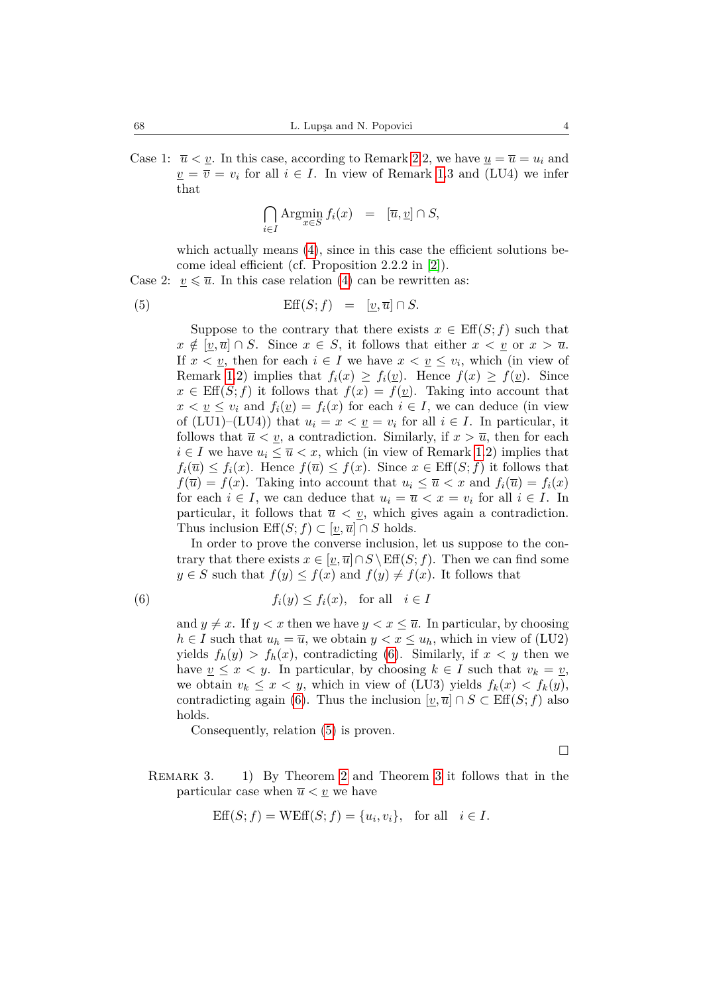Case 1:  $\overline{u} < \underline{v}$ . In this case, according to Remark [2.](#page-0-1)2, we have  $\underline{u} = \overline{u} = u_i$  and  $\nu = \overline{v} = v_i$  for all  $i \in I$ . In view of Remark [1.](#page-0-1)3 and (LU4) we infer that

<span id="page-3-1"></span>
$$
\bigcap_{i \in I} \text{Argmin}_{x \in S} f_i(x) = [\overline{u}, \underline{v}] \cap S,
$$

which actually means [\(4\)](#page-2-2), since in this case the efficient solutions become ideal efficient (cf. Proposition 2.2.2 in [\[2\]](#page-5-2)).

Case 2:  $v \leq \overline{u}$ . In this case relation [\(4\)](#page-2-2) can be rewritten as:

(5) 
$$
\text{Eff}(S; f) = [\underline{v}, \overline{u}] \cap S.
$$

Suppose to the contrary that there exists  $x \in \text{Eff}(S; f)$  such that  $x \notin [v, \overline{u}] \cap S$ . Since  $x \in S$ , it follows that either  $x < v$  or  $x > \overline{u}$ . If  $x < y$ , then for each  $i \in I$  we have  $x < y \leq v_i$ , which (in view of Remark [1.](#page-0-1)2) implies that  $f_i(x) \geq f_i(\underline{v})$ . Hence  $f(x) \geq f(\underline{v})$ . Since  $x \in \text{Eff}(S; f)$  it follows that  $f(x) = f(y)$ . Taking into account that  $x < y \leq v_i$  and  $f_i(y) = f_i(x)$  for each  $i \in I$ , we can deduce (in view of (LU1)–(LU4)) that  $u_i = x < v_i$  for all  $i \in I$ . In particular, it follows that  $\overline{u} < \underline{v}$ , a contradiction. Similarly, if  $x > \overline{u}$ , then for each  $i \in I$  we have  $u_i \leq \overline{u} < x$ , which (in view of Remark [1.](#page-0-1)2) implies that  $f_i(\overline{u}) \leq f_i(x)$ . Hence  $f(\overline{u}) \leq f(x)$ . Since  $x \in \text{Eff}(S; f)$  it follows that  $f(\overline{u}) = f(x)$ . Taking into account that  $u_i \leq \overline{u} < x$  and  $f_i(\overline{u}) = f_i(x)$ for each  $i \in I$ , we can deduce that  $u_i = \overline{u} < x = v_i$  for all  $i \in I$ . In particular, it follows that  $\overline{u} < \underline{v}$ , which gives again a contradiction. Thus inclusion  $\mathrm{Eff}(S; f) \subset [v, \overline{u}] \cap S$  holds.

In order to prove the converse inclusion, let us suppose to the contrary that there exists  $x \in [v, \overline{u}] \cap S \setminus \text{Eff}(S; f)$ . Then we can find some  $y \in S$  such that  $f(y) \leq f(x)$  and  $f(y) \neq f(x)$ . It follows that

(6) 
$$
f_i(y) \le f_i(x), \text{ for all } i \in I
$$

<span id="page-3-0"></span>and  $y \neq x$ . If  $y < x$  then we have  $y < x \leq \overline{u}$ . In particular, by choosing *h* ∈ *I* such that  $u_h = \overline{u}$ , we obtain  $y < x \leq u_h$ , which in view of (LU2) yields  $f_h(y) > f_h(x)$ , contradicting [\(6\)](#page-3-0). Similarly, if  $x < y$  then we have  $v \leq x \leq y$ . In particular, by choosing  $k \in I$  such that  $v_k = v$ , we obtain  $v_k \leq x \leq y$ , which in view of (LU3) yields  $f_k(x) \leq f_k(y)$ , contradicting again [\(6\)](#page-3-0). Thus the inclusion  $[\underline{v}, \overline{u}] \cap S \subset \text{Eff}(S; f)$  also holds.

Consequently, relation [\(5\)](#page-3-1) is proven.

 $\Box$ 

REMARK 3. 1) By Theorem [2](#page-2-3) and Theorem [3](#page-2-4) it follows that in the particular case when  $\overline{u} < \underline{v}$  we have

$$
Eff(S; f) = WEff(S; f) = \{u_i, v_i\}, \text{ for all } i \in I.
$$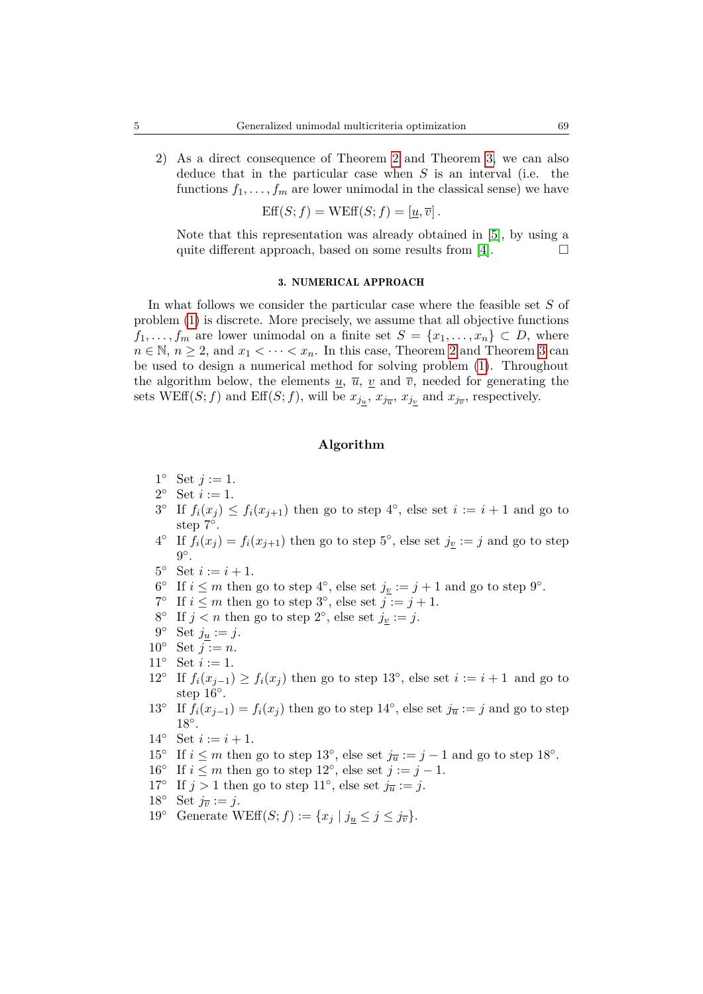2) As a direct consequence of Theorem [2](#page-2-3) and Theorem [3,](#page-2-4) we can also deduce that in the particular case when *S* is an interval (i.e. the functions  $f_1, \ldots, f_m$  are lower unimodal in the classical sense) we have

$$
Eff(S; f) = WEff(S; f) = [\underline{u}, \overline{v}].
$$

Note that this representation was already obtained in [\[5\]](#page-5-3), by using a quite different approach, based on some results from [\[4\]](#page-5-4).  $\Box$ 

# 3. NUMERICAL APPROACH

In what follows we consider the particular case where the feasible set *S* of problem [\(1\)](#page-1-0) is discrete. More precisely, we assume that all objective functions  $f_1, \ldots, f_m$  are lower unimodal on a finite set  $S = \{x_1, \ldots, x_n\} \subset D$ , where  $n \in \mathbb{N}, n \geq 2$  $n \in \mathbb{N}, n \geq 2$ , and  $x_1 < \cdots < x_n$ . In this case, Theorem 2 and Theorem [3](#page-2-4) can be used to design a numerical method for solving problem [\(1\)](#page-1-0). Throughout the algorithm below, the elements  $u, \bar{u}, v$  and  $\bar{v}$ , needed for generating the sets WEff $(S; f)$  and Eff $(S; f)$ , will be  $x_{j_{\underline{u}}}, x_{j_{\overline{u}}}, x_{j_{\underline{v}}}$  and  $x_{j_{\overline{v}}},$  respectively.

# **Algorithm**

- $1^{\circ}$  Set  $j := 1$ .
- 2° Set  $i := 1$ .
- $3^{\circ}$  If  $f_i(x_j) \leq f_i(x_{j+1})$  then go to step  $4^{\circ}$ , else set  $i := i+1$  and go to step 7°.
- <sup>4°</sup> If  $f_i(x_j) = f_i(x_{j+1})$  then go to step 5<sup>°</sup>, else set  $j_v := j$  and go to step  $9^\circ$ .
- 5° Set  $i := i + 1$ .
- 6<sup>°</sup> If *i* ≤ *m* then go to step 4<sup>°</sup>, else set  $j_{\underline{v}} := j + 1$  and go to step 9<sup>°</sup>.
- <sup>7°</sup> If  $i \leq m$  then go to step 3<sup>°</sup>, else set  $\overline{j} := j + 1$ .
- 8° If  $j < n$  then go to step 2°, else set  $j_{\underline{v}} := j$ .
- 9° Set  $j_{\underline{u}} := j$ .
- 10 $^{\circ}$  Set  $j := n$ .
- 11° Set  $i := 1$ .
- 12<sup>°</sup> If  $f_i(x_{j-1}) \ge f_i(x_j)$  then go to step 13<sup>°</sup>, else set  $i := i + 1$  and go to step  $16°$ .
- 13<sup>°</sup> If  $f_i(x_{j-1}) = f_i(x_j)$  then go to step 14<sup>°</sup>, else set  $j_{\overline{u}} := j$  and go to step 18◦ .
- 14° Set  $i := i + 1$ .
- 15<sup>°</sup> If  $i \leq m$  then go to step 13<sup>°</sup>, else set  $j_{\overline{u}} := j 1$  and go to step 18<sup>°</sup>.
- 16° If  $i \leq m$  then go to step 12°, else set  $j := j 1$ .
- 17° If  $j > 1$  then go to step 11°, else set  $j_{\overline{u}} := j$ .
- 18° Set  $j_{\overline{v}} := j$ .
- 19° Generate WEff $(S; f) := \{x_j \mid j_u \leq j \leq j_{\overline{v}}\}.$